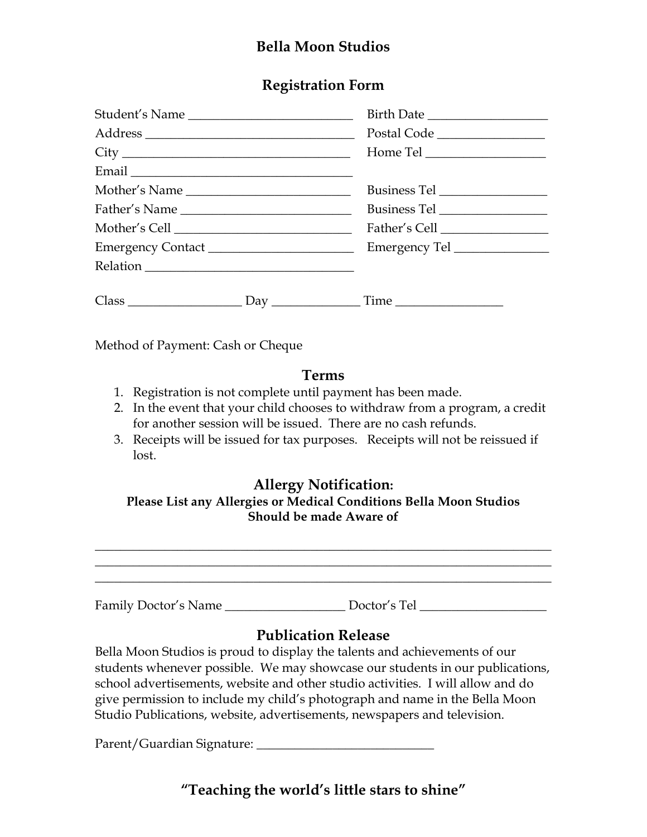## **Bella Moon Studios**

### **Registration Form**

| Student's Name              | Birth Date |
|-----------------------------|------------|
|                             |            |
|                             |            |
|                             |            |
|                             |            |
|                             |            |
|                             |            |
|                             |            |
|                             |            |
| $Class$ $Day$ $Time$ $Time$ |            |

Method of Payment: Cash or Cheque

#### **Terms**

- 1. Registration is not complete until payment has been made.
- 2. In the event that your child chooses to withdraw from a program, a credit for another session will be issued. There are no cash refunds.
- 3. Receipts will be issued for tax purposes. Receipts will not be reissued if lost.

#### **Allergy Notification:**

#### **Please List any Allergies or Medical Conditions Bella Moon Studios Should be made Aware of**

\_\_\_\_\_\_\_\_\_\_\_\_\_\_\_\_\_\_\_\_\_\_\_\_\_\_\_\_\_\_\_\_\_\_\_\_\_\_\_\_\_\_\_\_\_\_\_\_\_\_\_\_\_\_\_\_\_\_\_\_\_\_\_\_\_\_\_\_\_\_\_\_ \_\_\_\_\_\_\_\_\_\_\_\_\_\_\_\_\_\_\_\_\_\_\_\_\_\_\_\_\_\_\_\_\_\_\_\_\_\_\_\_\_\_\_\_\_\_\_\_\_\_\_\_\_\_\_\_\_\_\_\_\_\_\_\_\_\_\_\_\_\_\_\_ \_\_\_\_\_\_\_\_\_\_\_\_\_\_\_\_\_\_\_\_\_\_\_\_\_\_\_\_\_\_\_\_\_\_\_\_\_\_\_\_\_\_\_\_\_\_\_\_\_\_\_\_\_\_\_\_\_\_\_\_\_\_\_\_\_\_\_\_\_\_\_\_

Family Doctor's Name \_\_\_\_\_\_\_\_\_\_\_\_\_\_\_\_\_\_\_\_\_\_\_ Doctor's Tel \_\_\_\_\_\_\_\_\_\_\_\_\_\_\_\_\_\_\_\_\_\_

## **Publication Release**

Bella Moon Studios is proud to display the talents and achievements of our students whenever possible. We may showcase our students in our publications, school advertisements, website and other studio activities. I will allow and do give permission to include my child's photograph and name in the Bella Moon Studio Publications, website, advertisements, newspapers and television.

Parent/Guardian Signature: \_\_\_\_\_\_\_\_\_\_\_\_\_\_\_\_\_\_\_\_\_\_\_\_\_\_\_\_

**"Teaching the world's little stars to shine"**